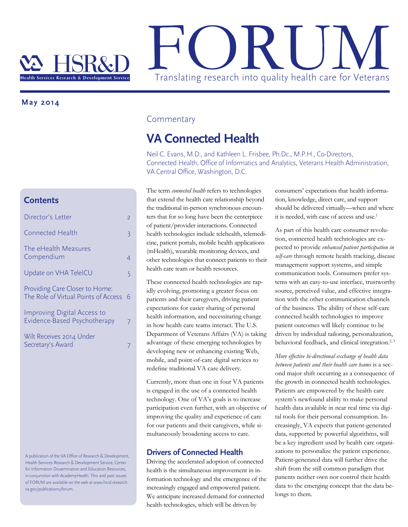

 **May 2014**

## **Contents**

| Director's Letter                                                      | 2 |
|------------------------------------------------------------------------|---|
| <b>Connected Health</b>                                                | 3 |
| The eHealth Measures<br>Compendium                                     | 4 |
| Update on VHA TeleICU                                                  | 5 |
| Providing Care Closer to Home:<br>The Role of Virtual Points of Access | 6 |
| Improving Digital Access to<br>Evidence-Based Psychotherapy            | 7 |
| Wilt Receives 2014 Under<br>Secretary's Award                          |   |
|                                                                        |   |
|                                                                        |   |

A publication of the VA Office of Research & Development, Health Services Research & Development Service, Center for Information Dissemination and Education Resources, in conjunction with AcademyHealth. This and past issues of FORUM are available on the web at www.hsrd.research. va.gov/publications/forum.

### **Commentary**

## **VA Connected Health**

Neil C. Evans, M.D., and Kathleen L. Frisbee, Ph.Dc., M.P.H., Co-Directors, Connected Health, Office of Informatics and Analytics, Veterans Health Administration, VA Central Office, Washington, D.C.

The term *connected health* refers to technologies that extend the health care relationship beyond the traditional in-person synchronous encounters that for so long have been the centerpiece of patient/provider interactions. Connected health technologies include telehealth, telemedicine, patient portals, mobile health applications (mHealth), wearable monitoring devices, and other technologies that connect patients to their health care team or health resources.

These connected health technologies are rapidly evolving, promoting a greater focus on patients and their caregivers, driving patient expectations for easier sharing of personal health information, and necessitating change in how health care teams interact. The U.S. Department of Veterans Affairs (VA) is taking advantage of these emerging technologies by developing new or enhancing existing Web, mobile, and point-of-care digital services to redefine traditional VA care delivery.

Currently, more than one in four VA patients is engaged in the use of a connected health technology. One of VA's goals is to increase participation even further, with an objective of improving the quality and experience of care for our patients and their caregivers, while simultaneously broadening access to care.

## **Drivers of Connected Health**

Driving the accelerated adoption of connected health is the simultaneous improvement in information technology and the emergence of the increasingly engaged and empowered patient. We anticipate increased demand for connected health technologies, which will be driven by

consumers' expectations that health information, knowledge, direct care, and support should be delivered virtually—when and where it is needed, with ease of access and use.<sup>1</sup>

As part of this health care consumer revolution, connected health technologies are expected to provide *enhanced patient participation in self-care* through remote health tracking, disease management support systems, and simple communication tools. Consumers prefer systems with an easy-to-use interface, trustworthy source, perceived value, and effective integration with the other communication channels of the business. The ability of these self-care connected health technologies to improve patient outcomes will likely continue to be driven by individual tailoring, personalization, behavioral feedback, and clinical integration.<sup>2, 3</sup>

*More effective bi-directional exchange of health data between patients and their health care teams* is a second major shift occurring as a consequence of the growth in connected health technologies. Patients are empowered by the health care system's newfound ability to make personal health data available in near real time via digital tools for their personal consumption. Increasingly, VA expects that patient-generated data, supported by powerful algorithms, will be a key ingredient used by health care organizations to personalize the patient experience. Patient-generated data will further drive the shift from the still common paradigm that patients neither own nor control their health data to the emerging concept that the data belongs to them.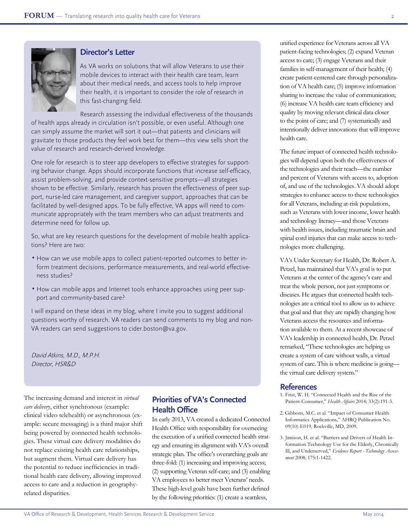



## **Director's Letter**

As VA works on solutions that will allow Veterans to use their mobile devices to interact with their health care team, learn about their medical needs, and access tools to help improve their health, it is important to consider the role of research in this fast-changing field.

Research assessing the individual effectiveness of the thousands of health apps already in circulation isn't possible, or even useful. Although one can simply assume the market will sort it out—that patients and clinicians will gravitate to those products they feel work best for them—this view sells short the value of research and research-derived knowledge.

One role for research is to steer app developers to effective strategies for supporting behavior change. Apps should incorporate functions that increase self-efficacy, assist problem-solving, and provide context-sensitive prompts—all strategies shown to be effective. Similarly, research has proven the effectiveness of peer support, nurse-led care management, and caregiver support, approaches that can be facilitated by well-designed apps. To be fully effective, VA apps will need to communicate appropriately with the team members who can adjust treatments and determine need for follow up.

So, what are key research questions for the development of mobile health applications? Here are two:

- How can we use mobile apps to collect patient-reported outcomes to better inform treatment decisions, performance measurements, and real-world effectiveness studies?
- How can mobile apps and Internet tools enhance approaches using peer support and community-based care?

I will expand on these ideas in my blog, where I invite you to suggest additional questions worthy of research. VA readers can send comments to my blog and non-VA readers can send suggestions to cider.boston@va.gov.

David Atkins, M.D., M.P.H. Director, HSR&D

The increasing demand and interest in *virtual care delivery*, either synchronous (example: clinical video telehealth) or asynchronous (example: secure messaging) is a third major shift being powered by connected health technologies. These virtual care delivery modalities do not replace existing health care relationships, but augment them. Virtual care delivery has the potential to reduce inefficiencies in traditional health care delivery, allowing improved access to care and a reduction in geographyrelated disparities.

## **Priorities of VA's Connected Health Office**

In early 2013, VA created a dedicated Connected Health Office with responsibility for overseeing the execution of a unified connected health strategy and ensuring its alignment with VA's overall strategic plan. The office's overarching goals are three-fold: (1) increasing and improving access; (2) supporting Veteran self-care; and (3) enabling VA employees to better meet Veterans' needs. These high-level goals have been further defined by the following priorities: (1) create a seamless,

unified experience for Veterans across all VA patient-facing technologies; (2) expand Veteran access to care; (3) engage Veterans and their families in self-management of their health; (4) create patient-centered care through personalization of VA health care; (5) improve information sharing to increase the value of communication; (6) increase VA health care team efficiency and quality by moving relevant clinical data closer to the point of care; and (7) systematically and intentionally deliver innovations that will improve health care.

The future impact of connected health technologies will depend upon both the effectiveness of the technologies and their reach—the number and percent of Veterans with access to, adoption of, and use of the technologies. VA should adopt strategies to enhance access to these technologies for all Veterans, including at-risk populations, such as Veterans with lower income, lower health and technology literacy—and those Veterans with health issues, including traumatic brain and spinal cord injuries that can make access to technologies more challenging.

VA's Under Secretary for Health, Dr. Robert A. Petzel, has maintained that VA's goal is to put Veterans at the center of the agency's care and treat the whole person, not just symptoms or diseases. He argues that connected health technologies are a critical tool to allow us to achieve that goal and that they are rapidly changing how Veterans access the resources and information available to them. At a recent showcase of VA's leadership in connected health, Dr. Petzel remarked, "These technologies are helping us create a system of care without walls, a virtual system of care. This is where medicine is going the virtual care delivery system."

- 1. Frist, W. H. "Connected Health and the Rise of the Patient-Consumer," *Health Affairs* 2014; 33(2):191-3.
- 2. Gibbons, M.C. et al. "Impact of Consumer Health Informatics Applications," AHRQ Publication No. 09(10)-E019, Rockville, MD, 2009.
- 3. Jimison, H. et al. "Barriers and Drivers of Health Information Technology Use for the Elderly, Chronically Ill, and Underserved," *Evidence Report - Technology Assessment* 2008; 175:1-1422.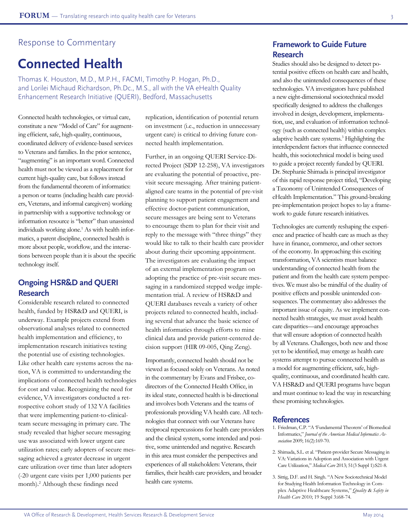#### Response to Commentary

# **Connected Health**

Thomas K. Houston, M.D., M.P.H., FACMI, Timothy P. Hogan, Ph.D., and Lorilei Michaud Richardson, Ph.Dc., M.S., all with the VA eHealth Quality Enhancement Research Initiative (QUERI), Bedford, Massachusetts

Connected health technologies, or virtual care, constitute a new "Model of Care" for augmenting efficient, safe, high-quality, continuous, coordinated delivery of evidence-based services to Veterans and families. In the prior sentence, "augmenting" is an important word. Connected health must not be viewed as a replacement for current high-quality care, but follows instead from the fundamental theorem of informatics: a person or teams (including health care providers, Veterans, and informal caregivers) working in partnership with a supportive technology or information resource is "better" than unassisted individuals working alone.<sup>1</sup> As with health informatics, a parent discipline, connected health is more about people, workflow, and the interactions between people than it is about the specific technology itself.

## **Ongoing HSR&D and QUERI Research**

Considerable research related to connected health, funded by HSR&D and QUERI, is underway. Example projects extend from observational analyses related to connected health implementation and efficiency, to implementation research initiatives testing the potential use of existing technologies. Like other health care systems across the nation, VA is committed to understanding the implications of connected health technologies for cost and value. Recognizing the need for evidence, VA investigators conducted a retrospective cohort study of 132 VA facilities that were implementing patient-to-clinicalteam secure messaging in primary care. The study revealed that higher secure messaging use was associated with lower urgent care utilization rates; early adopters of secure messaging achieved a greater decrease in urgent care utilization over time than later adopters (-20 urgent care visits per 1,000 patients per month).2 Although these findings need

replication, identification of potential return on investment (i.e., reduction in unnecessary urgent care) is critical to driving future connected health implementation.

Further, in an ongoing QUERI Service-Directed Project (SDP 12-258), VA investigators are evaluating the potential of proactive, previsit secure messaging. After training patientaligned care teams in the potential of pre-visit planning to support patient engagement and effective doctor-patient communication, secure messages are being sent to Veterans to encourage them to plan for their visit and reply to the message with "three things" they would like to talk to their health care provider about during their upcoming appointment. The investigators are evaluating the impact of an external implementation program on adopting the practice of pre-visit secure messaging in a randomized stepped wedge implementation trial. A review of HSR&D and QUERI databases reveals a variety of other projects related to connected health, including several that advance the basic science of health informatics through efforts to mine clinical data and provide patient-centered decision support (HIR 09-005, Qing Zeng).

Importantly, connected health should not be viewed as focused solely on Veterans. As noted in the commentary by Evans and Frisbee, codirectors of the Connected Health Office, in its ideal state, connected health is bi-directional and involves both Veterans and the teams of professionals providing VA health care. All technologies that connect with our Veterans have reciprocal repercussions for health care providers and the clinical system, some intended and positive, some unintended and negative. Research in this area must consider the perspectives and experiences of all stakeholders: Veterans, their families, their health care providers, and broader health care systems.

## **Framework to Guide Future Research**

Studies should also be designed to detect potential positive effects on health care and health, and also the unintended consequences of these technologies. VA investigators have published a new eight-dimensional sociotechnical model specifically designed to address the challenges involved in design, development, implementation, use, and evaluation of information technology (such as connected health) within complex adaptive health care systems.3 Highlighting the interdependent factors that influence connected health, this sociotechnical model is being used to guide a project recently funded by QUERI. Dr. Stephanie Shimada is principal investigator of this rapid response project titled, "Developing a Taxonomy of Unintended Consequences of eHealth Implementation." This ground-breaking pre-implementation project hopes to lay a framework to guide future research initiatives.

Technologies are currently reshaping the experience and practice of health care as much as they have in finance, commerce, and other sectors of the economy. In approaching this exciting transformation, VA scientists must balance understanding of connected health from the patient and from the health care system perspectives. We must also be mindful of the duality of positive effects and possible unintended consequences. The commentary also addresses the important issue of equity. As we implement connected health strategies, we must avoid health care disparities—and encourage approaches that will ensure adoption of connected health by all Veterans. Challenges, both new and those yet to be identified, may emerge as health care systems attempt to pursue connected health as a model for augmenting efficient, safe, highquality, continuous, and coordinated health care. VA HSR&D and QUERI programs have begun and must continue to lead the way in researching these promising technologies.

- 1. Friedman, C.P. "A 'Fundamental Theorem' of Biomedical Informatics," *Journal of the American Medical Informatics Association* 2009; 16(2):169-70.
- 2. Shimada, S.L. et al. "Patient-provider Secure Messaging in VA: Variations in Adoption and Association with Urgent Care Utilization," *Medical Care* 2013; 51(3 Suppl 1):S21-8.
- 3. Sittig, D.F. and H. Singh. "A New Sociotechnical Model for Studying Health Information Technology in Complex Adaptive Healthcare Systems," *Quality* & *Safety in Health Care* 2010; 19 Suppl 3:i68-74.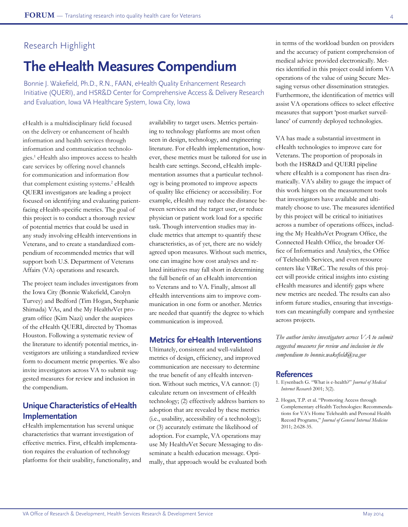# **The eHealth Measures Compendium**

Bonnie J. Wakefield, Ph.D., R.N., FAAN, eHealth Quality Enhancement Research Initiative (QUERI), and HSR&D Center for Comprehensive Access & Delivery Research and Evaluation, Iowa VA Healthcare System, Iowa City, Iowa

eHealth is a multidisciplinary field focused on the delivery or enhancement of health information and health services through information and communication technologies.1 eHealth also improves access to health care services by offering novel channels for communication and information flow that complement existing systems.<sup>2</sup> eHealth QUERI investigators are leading a project focused on identifying and evaluating patientfacing eHealth-specific metrics. The goal of this project is to conduct a thorough review of potential metrics that could be used in any study involving eHealth interventions in Veterans, and to create a standardized compendium of recommended metrics that will support both U.S. Department of Veterans Affairs (VA) operations and research.

The project team includes investigators from the Iowa City (Bonnie Wakefield, Carolyn Turvey) and Bedford (Tim Hogan, Stephanie Shimada) VAs, and the My Health*e*Vet program office (Kim Nazi) under the auspices of the eHealth QUERI, directed by Thomas Houston. Following a systematic review of the literature to identify potential metrics, investigators are utilizing a standardized review form to document metric properties. We also invite investigators across VA to submit suggested measures for review and inclusion in the compendium.

## **Unique Characteristics of eHealth Implementation**

eHealth implementation has several unique characteristics that warrant investigation of effective metrics. First, eHealth implementation requires the evaluation of technology platforms for their usability, functionality, and availability to target users. Metrics pertaining to technology platforms are most often seen in design, technology, and engineering literature. For eHealth implementation, however, these metrics must be tailored for use in health care settings. Second, eHealth implementation assumes that a particular technology is being promoted to improve aspects of quality like efficiency or accessibility. For example, eHealth may reduce the distance between services and the target user, or reduce physician or patient work load for a specific task. Though intervention studies may include metrics that attempt to quantify these characteristics, as of yet, there are no widely agreed upon measures. Without such metrics, one can imagine how cost analyses and related initiatives may fall short in determining the full benefit of an eHealth intervention to Veterans and to VA. Finally, almost all eHealth interventions aim to improve communication in one form or another. Metrics are needed that quantify the degree to which communication is improved.

### **Metrics for eHealth Interventions**

Ultimately, consistent and well-validated metrics of design, efficiency, and improved communication are necessary to determine the true benefit of any eHealth intervention. Without such metrics, VA cannot: (1) calculate return on investment of eHealth technology; (2) effectively address barriers to adoption that are revealed by these metrics (i.e., usability, accessibility of a technology); or (3) accurately estimate the likelihood of adoption. For example, VA operations may use My Health*e*Vet Secure Messaging to disseminate a health education message. Optimally, that approach would be evaluated both in terms of the workload burden on providers and the accuracy of patient comprehension of medical advice provided electronically. Metrics identified in this project could inform VA operations of the value of using Secure Messaging versus other dissemination strategies. Furthermore, the identification of metrics will assist VA operations offices to select effective measures that support 'post-market surveillance' of currently deployed technologies.

VA has made a substantial investment in eHealth technologies to improve care for Veterans. The proportion of proposals in both the HSR&D and QUERI pipeline where eHealth is a component has risen dramatically. VA's ability to gauge the impact of this work hinges on the measurement tools that investigators have available and ultimately choose to use. The measures identified by this project will be critical to initiatives across a number of operations offices, including the My Health*e*Vet Program Office, the Connected Health Office, the broader Office of Informatics and Analytics, the Office of Telehealth Services, and even resource centers like VIReC. The results of this project will provide critical insights into existing eHealth measures and identify gaps where new metrics are needed. The results can also inform future studies, ensuring that investigators can meaningfully compare and synthesize across projects.

*The author invites investigators across VA to submit suggested measures for review and inclusion in the compendium to bonnie.wakefield@va.gov*

- 1. Eysenbach G. "What is e-health?" *Journal of Medical Internet Research* 2001; 3(2).
- 2. Hogan, T.P. et al. "Promoting Access through Complementary eHealth Technologies: Recommendations for VA's Home Telehealth and Personal Health Record Programs," *Journal of General Internal Medicine*  2011; 2:628-35.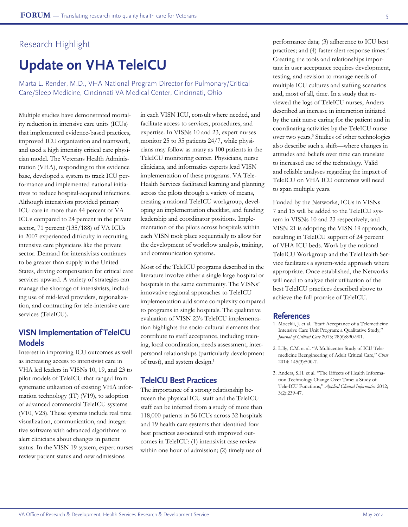# **Update on VHA TeleICU**

Marta L. Render, M.D., VHA National Program Director for Pulmonary/Critical Care/Sleep Medicine, Cincinnati VA Medical Center, Cincinnati, Ohio

Multiple studies have demonstrated mortality reduction in intensive care units (ICUs) that implemented evidence-based practices, improved ICU organization and teamwork, and used a high intensity critical care physician model. The Veterans Health Administration (VHA), responding to this evidence base, developed a system to track ICU performance and implemented national initiatives to reduce hospital-acquired infections. Although intensivists provided primary ICU care in more than 44 percent of VA ICUs compared to 24 percent in the private sector, 71 percent (135/188) of VA ICUs in 2007 experienced difficulty in recruiting intensive care physicians like the private sector. Demand for intensivists continues to be greater than supply in the United States, driving compensation for critical care services upward. A variety of strategies can manage the shortage of intensivists, including use of mid-level providers, regionalization, and contracting for tele-intensive care services (TeleICU).

## **VISN Implementation of TeleICU Models**

Interest in improving ICU outcomes as well as increasing access to intensivist care in VHA led leaders in VISNs 10, 19, and 23 to pilot models of TeleICU that ranged from systematic utilization of existing VHA information technology (IT) (V19), to adoption of advanced commercial TeleICU systems (V10, V23). These systems include real time visualization, communication, and integrative software with advanced algorithms to alert clinicians about changes in patient status. In the VISN 19 system, expert nurses review patient status and new admissions

in each VISN ICU, consult where needed, and facilitate access to services, procedures, and expertise. In VISNs 10 and 23, expert nurses monitor 25 to 35 patients 24/7, while physicians may follow as many as 100 patients in the TeleICU monitoring center. Physicians, nurse clinicians, and informatics experts lead VISN implementation of these programs. VA Tele-Health Services facilitated learning and planning across the pilots through a variety of means, creating a national TeleICU workgroup, developing an implementation checklist, and funding leadership and coordinator positions. Implementation of the pilots across hospitals within each VISN took place sequentially to allow for the development of workflow analysis, training, and communication systems.

Most of the TeleICU programs described in the literature involve either a single large hospital or hospitals in the same community. The VISNs' innovative regional approaches to TeleICU implementation add some complexity compared to programs in single hospitals. The qualitative evaluation of VISN 23's TeleICU implementation highlights the socio-cultural elements that contribute to staff acceptance, including training, local coordination, needs assessment, interpersonal relationships (particularly development of trust), and system design.<sup>1</sup>

#### **TeleICU Best Practices**

The importance of a strong relationship between the physical ICU staff and the TeleICU staff can be inferred from a study of more than 118,000 patients in 56 ICUs across 32 hospitals and 19 health care systems that identified four best practices associated with improved outcomes in TeleICU: (1) intensivist case review within one hour of admission; (2) timely use of

performance data; (3) adherence to ICU best practices; and (4) faster alert response times.<sup>2</sup> Creating the tools and relationships important in user acceptance requires development, testing, and revision to manage needs of multiple ICU cultures and staffing scenarios and, most of all, time. In a study that reviewed the logs of TeleICU nurses, Anders described an increase in interaction initiated by the unit nurse caring for the patient and in coordinating activities by the TeleICU nurse over two years.3 Studies of other technologies also describe such a shift—where changes in attitudes and beliefs over time can translate to increased use of the technology. Valid and reliable analyses regarding the impact of TeleICU on VHA ICU outcomes will need to span multiple years.

Funded by the Networks, ICUs in VISNs 7 and 15 will be added to the TeleICU system in VISNs 10 and 23 respectively; and VISN 21 is adopting the VISN 19 approach, resulting in TeleICU support of 24 percent of VHA ICU beds. Work by the national TeleICU Workgroup and the TeleHealth Service facilitates a system-wide approach where appropriate. Once established, the Networks will need to analyze their utilization of the best TeleICU practices described above to achieve the full promise of TeleICU.

- 1. Moeckli, J. et al. "Staff Acceptance of a Telemedicine Intensive Care Unit Program: a Qualitative Study*,*" *Journal of Critical Care* 2013; 28(6):890-901.
- 2. Lilly, C.M. et al. "A Multicenter Study of ICU Telemedicine Reengineering of Adult Critical Care," *Chest* 2014; 145(3):500-7.
- 3. Anders, S.H. et al. "The Effects of Health Information Technology Change Over Time: a Study of Tele-ICU Functions," *Applied Clinical Informatics* 2012; 3(2):239-47.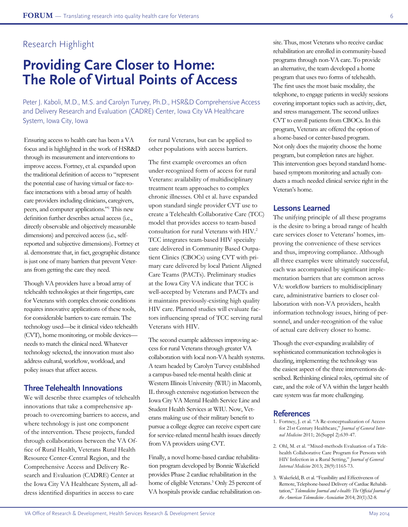# **Providing Care Closer to Home: The Role of Virtual Points of Access**

Peter J. Kaboli, M.D., M.S. and Carolyn Turvey, Ph.D., HSR&D Comprehensive Access and Delivery Research and Evaluation (CADRE) Center, Iowa City VA Healthcare System, Iowa City, Iowa

Ensuring access to health care has been a VA focus and is highlighted in the work of HSR&D through its measurement and interventions to improve access. Fortney, et al. expanded upon the traditional definition of access to "represent the potential ease of having virtual or face-toface interactions with a broad array of health care providers including clinicians, caregivers, peers, and computer applications."1 This new definition further describes actual access (i.e., directly observable and objectively measurable dimensions) and perceived access (i.e., selfreported and subjective dimensions). Fortney et al. demonstrate that, in fact, geographic distance is just one of many barriers that prevent Veterans from getting the care they need.

Though VA providers have a broad array of telehealth technologies at their fingertips, care for Veterans with complex chronic conditions requires innovative applications of these tools, for considerable barriers to care remain. The technology used—be it clinical video telehealth (CVT), home monitoring, or mobile devices needs to match the clinical need. Whatever technology selected, the innovation must also address cultural, workflow, workload, and policy issues that affect access.

### **Three Telehealth Innovations**

We will describe three examples of telehealth innovations that take a comprehensive approach to overcoming barriers to access, and where technology is just one component of the intervention. These projects, funded through collaborations between the VA Office of Rural Health, Veterans Rural Health Resource Center-Central Region, and the Comprehensive Access and Delivery Research and Evaluation (CADRE) Center at the Iowa City VA Healthcare System, all address identified disparities in access to care

for rural Veterans, but can be applied to other populations with access barriers.

The first example overcomes an often under-recognized form of access for rural Veterans: availability of multidisciplinary treatment team approaches to complex chronic illnesses. Ohl et al. have expanded upon standard single provider CVT use to create a Telehealth Collaborative Care (TCC) model that provides access to team-based consultation for rural Veterans with HIV.2 TCC integrates team-based HIV specialty care delivered in Community Based Outpatient Clinics (CBOCs) using CVT with primary care delivered by local Patient Aligned Care Teams (PACTs). Preliminary studies at the Iowa City VA indicate that TCC is well-accepted by Veterans and PACTs and it maintains previously-existing high quality HIV care. Planned studies will evaluate factors influencing spread of TCC serving rural Veterans with HIV.

The second example addresses improving access for rural Veterans through greater VA collaboration with local non-VA health systems. A team headed by Carolyn Turvey established a campus-based tele-mental health clinic at Western Illinois University (WIU) in Macomb, IL through extensive negotiation between the Iowa City VA Mental Health Service Line and Student Health Services at WIU. Now, Veterans making use of their military benefit to pursue a college degree can receive expert care for service-related mental health issues directly from VA providers using CVT.

Finally, a novel home-based cardiac rehabilitation program developed by Bonnie Wakefield provides Phase 2 cardiac rehabilitation in the home of eligible Veterans.3 Only 25 percent of VA hospitals provide cardiac rehabilitation on-

site. Thus, most Veterans who receive cardiac rehabilitation are enrolled in community-based programs through non-VA care. To provide an alternative, the team developed a home program that uses two forms of telehealth. The first uses the most basic modality, the telephone, to engage patients in weekly sessions covering important topics such as activity, diet, and stress management. The second utilizes CVT to enroll patients from CBOCs. In this program, Veterans are offered the option of a home-based or center-based program. Not only does the majority choose the home program, but completion rates are higher. This intervention goes beyond standard homebased symptom monitoring and actually conducts a much needed clinical service right in the Veteran's home.

### **Lessons Learned**

The unifying principle of all these programs is the desire to bring a broad range of health care services closer to Veterans' homes, improving the convenience of these services and thus, improving compliance. Although all three examples were ultimately successful, each was accompanied by significant implementation barriers that are common across VA: workflow barriers to multidisciplinary care, administrative barriers to closer collaboration with non-VA providers, health information technology issues, hiring of personnel, and under-recognition of the value of actual care delivery closer to home.

Though the ever-expanding availability of sophisticated communication technologies is dazzling, implementing the technology was the easiest aspect of the three interventions described. Rethinking clinical roles, optimal site of care, and the role of VA within the larger health care system was far more challenging.

- 1. Fortney, J. et al. "A Re-conceptualization of Access for 21st Century Healthcare," *Journal of General Internal Medicine* 2011; 26(Suppl 2):639-47.
- 2. Ohl, M. et al. "Mixed-methods Evaluation of a Telehealth Collaborative Care Program for Persons with HIV Infection in a Rural Setting," *Journal of General Internal Medicine* 2013; 28(9):1165-73.
- 3. Wakefield, B. et al. "Feasibility and Effectiveness of Remote, Telephone-based Delivery of Cardiac Rehabilitation," *Telemedicine Journal and e-health: The Official Journal of the American Telemedicine Association* 2014; 20(1):32-8.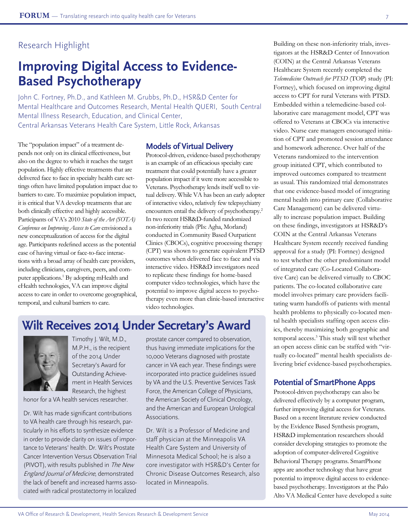# **Improving Digital Access to Evidence-Based Psychotherapy**

John C. Fortney, Ph.D., and Kathleen M. Grubbs, Ph.D., HSR&D Center for Mental Healthcare and Outcomes Research, Mental Health QUERI, South Central Mental Illness Research, Education, and Clinical Center, Central Arkansas Veterans Health Care System, Little Rock, Arkansas

The "population impact" of a treatment depends not only on its clinical effectiveness, but also on the degree to which it reaches the target population. Highly effective treatments that are delivered face to face in specialty health care settings often have limited population impact due to barriers to care. To maximize population impact, it is critical that VA develop treatments that are both clinically effective and highly accessible. Participants of VA's 2010 *State of the Art (SOTA) Conference on Improving Access to Care* envisioned a new conceptualization of access for the digital age. Participants redefined access as the potential ease of having virtual or face-to-face interactions with a broad array of health care providers, including clinicians, caregivers, peers, and computer applications.<sup>1</sup> By adopting mHealth and eHealth technologies, VA can improve digital access to care in order to overcome geographical, temporal, and cultural barriers to care.

### **Models of Virtual Delivery**

Protocol-driven, evidence-based psychotherapy is an example of an efficacious specialty care treatment that could potentially have a greater population impact if it were more accessible to Veterans. Psychotherapy lends itself well to virtual delivery. While VA has been an early adopter of interactive video, relatively few telepsychiatry encounters entail the delivery of psychotherapy.<sup>2</sup> In two recent HSR&D-funded randomized non-inferiority trials (PIs: Agha, Morland) conducted in Community Based Outpatient Clinics (CBOCs), cognitive processing therapy (CPT) was shown to generate equivalent PTSD outcomes when delivered face to face and via interactive video. HSR&D investigators need to replicate these findings for home-based computer video technologies, which have the potential to improve digital access to psychotherapy even more than clinic-based interactive video technologies.

## **Wilt Receives 2014 Under Secretary's Award**



Timothy J. Wilt, M.D., M.P.H., is the recipient of the 2014 Under Secretary's Award for Outstanding Achievement in Health Services Research, the highest

honor for a VA health services researcher.

Dr. Wilt has made significant contributions to VA health care through his research, particularly in his efforts to synthesize evidence in order to provide clarity on issues of importance to Veterans' health. Dr. Wilt's Prostate Cancer Intervention Versus Observation Trial (PIVOT), with results published in The New England Journal of Medicine, demonstrated the lack of benefit and increased harms associated with radical prostatectomy in localized

prostate cancer compared to observation, thus having immediate implications for the 10,000 Veterans diagnosed with prostate cancer in VA each year. These findings were incorporated into practice guidelines issued by VA and the U.S. Preventive Services Task Force, the American College of Physicians, the American Society of Clinical Oncology, and the American and European Urological Associations.

Dr. Wilt is a Professor of Medicine and staff physician at the Minneapolis VA Health Care System and University of Minnesota Medical School; he is also a core investigator with HSR&D's Center for Chronic Disease Outcomes Research, also located in Minneapolis.

Building on these non-inferiority trials, investigators at the HSR&D Center of Innovation (COIN) at the Central Arkansas Veterans Healthcare System recently completed the *Telemedicine Outreach for PTSD* (TOP) study (PI: Fortney), which focused on improving digital access to CPT for rural Veterans with PTSD. Embedded within a telemedicine-based collaborative care management model, CPT was offered to Veterans at CBOCs via interactive video. Nurse care managers encouraged initiation of CPT and promoted session attendance and homework adherence. Over half of the Veterans randomized to the intervention group initiated CPT, which contributed to improved outcomes compared to treatment as usual. This randomized trial demonstrates that one evidence-based model of integrating mental health into primary care (Collaborative Care Management) can be delivered virtually to increase population impact. Building on these findings, investigators at HSR&D's COIN at the Central Arkansas Veterans Healthcare System recently received funding approval for a study (PI: Fortney) designed to test whether the other predominant model of integrated care (Co-Located Collaborative Care) can be delivered virtually to CBOC patients. The co-located collaborative care model involves primary care providers facilitating warm handoffs of patients with mental health problems to physically co-located mental health specialists staffing open access clinics, thereby maximizing both geographic and temporal access.3 This study will test whether an open access clinic can be staffed with "virtually co-located" mental health specialists delivering brief evidence-based psychotherapies.

## **Potential of SmartPhone Apps**

Protocol-driven psychotherapy can also be delivered effectively by a computer program, further improving digital access for Veterans. Based on a recent literature review conducted by the Evidence Based Synthesis program, HSR&D implementation researchers should consider developing strategies to promote the adoption of computer-delivered Cognitive Behavioral Therapy programs. SmartPhone apps are another technology that have great potential to improve digital access to evidencebased psychotherapy. Investigators at the Palo Alto VA Medical Center have developed a suite